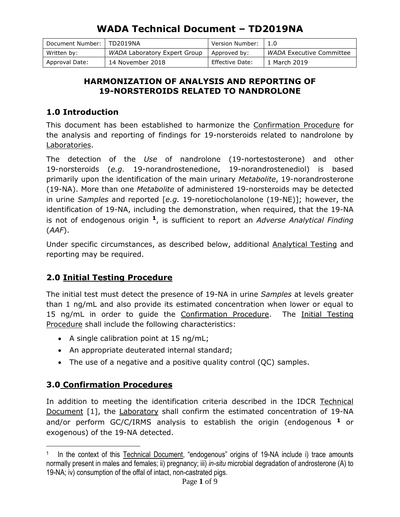| Document Number: | TD2019NA                     | Version Number: |                                 |
|------------------|------------------------------|-----------------|---------------------------------|
| Written by:      | WADA Laboratory Expert Group | Approved by:    | <i>WADA</i> Executive Committee |
| Approval Date:   | 14 November 2018             | Effective Date: | 1 March 2019                    |

### **HARMONIZATION OF ANALYSIS AND REPORTING OF 19-NORSTEROIDS RELATED TO NANDROLONE**

## **1.0 Introduction**

This document has been established to harmonize the Confirmation Procedure for the analysis and reporting of findings for 19-norsteroids related to nandrolone by Laboratories.

The detection of the *Use* of nandrolone (19-nortestosterone) and other 19-norsteroids (*e.g.* 19-norandrostenedione, 19-norandrostenediol) is based primarily upon the identification of the main urinary *Metabolite*, 19-norandrosterone (19-NA). More than one *Metabolite* of administered 19-norsteroids may be detected in urine *Samples* and reported [*e.g.* 19-noretiocholanolone (19-NE)]; however, the identification of 19-NA, including the demonstration, when required, that the 19-NA is not of endogenous origin **<sup>1</sup>**, is sufficient to report an *Adverse Analytical Finding* (*AAF*).

Under specific circumstances, as described below, additional Analytical Testing and reporting may be required.

## **2.0 Initial Testing Procedure**

The initial test must detect the presence of 19-NA in urine *Samples* at levels greater than 1 ng/mL and also provide its estimated concentration when lower or equal to 15 ng/mL in order to guide the Confirmation Procedure. The Initial Testing Procedure shall include the following characteristics:

- A single calibration point at 15 ng/mL;
- An appropriate deuterated internal standard;
- The use of a negative and a positive quality control (QC) samples.

## **3.0 Confirmation Procedures**

 $\overline{a}$ 

In addition to meeting the identification criteria described in the IDCR Technical Document [1], the Laboratory shall confirm the estimated concentration of 19-NA and/or perform GC/C/IRMS analysis to establish the origin (endogenous **<sup>1</sup>** or exogenous) of the 19-NA detected.

<sup>1</sup> In the context of this Technical Document, "endogenous" origins of 19-NA include i) trace amounts normally present in males and females; ii) pregnancy; iii) *in-situ* microbial degradation of androsterone (A) to 19-NA; iv) consumption of the offal of intact, non-castrated pigs.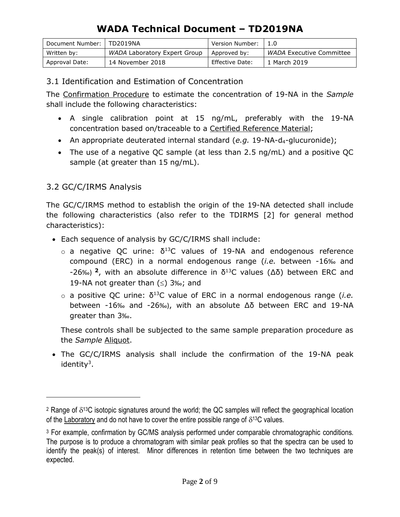| Document Number: | l TD2019NA                   | Version Number: |                                 |
|------------------|------------------------------|-----------------|---------------------------------|
| Written by:      | WADA Laboratory Expert Group | Approved by:    | <i>WADA</i> Executive Committee |
| Approval Date:   | 14 November 2018             | Effective Date: | 1 March 2019                    |

### 3.1 Identification and Estimation of Concentration

The Confirmation Procedure to estimate the concentration of 19-NA in the *Sample* shall include the following characteristics:

- A single calibration point at 15 ng/mL, preferably with the 19-NA concentration based on/traceable to a Certified Reference Material;
- An appropriate deuterated internal standard (*e.g.* 19-NA-d<sub>4</sub>-glucuronide);
- The use of a negative QC sample (at less than 2.5 ng/mL) and a positive QC sample (at greater than 15 ng/mL).

## 3.2 GC/C/IRMS Analysis

 $\overline{a}$ 

The GC/C/IRMS method to establish the origin of the 19-NA detected shall include the following characteristics (also refer to the TDIRMS [2] for general method characteristics):

- Each sequence of analysis by GC/C/IRMS shall include:
	- $\circ$  a negative QC urine:  $\delta^{13}$ C values of 19-NA and endogenous reference compound (ERC) in a normal endogenous range (*i.e.* between -16‰ and -26‰) **<sup>2</sup>**, with an absolute difference in δ<sup>13</sup>C values (∆δ) between ERC and 19-NA not greater than  $(\le)$  3‰; and
	- o a positive QC urine: δ <sup>13</sup>C value of ERC in a normal endogenous range (*i.e.* between -16‰ and -26‰), with an absolute ∆δ between ERC and 19-NA greater than 3‰.

These controls shall be subjected to the same sample preparation procedure as the *Sample* Aliquot.

 The GC/C/IRMS analysis shall include the confirmation of the 19-NA peak identity<sup>3</sup>.

<sup>&</sup>lt;sup>2</sup> Range of  $\delta^{13}$ C isotopic signatures around the world; the QC samples will reflect the geographical location of the Laboratory and do not have to cover the entire possible range of  $\delta^{13}C$  values.

<sup>&</sup>lt;sup>3</sup> For example, confirmation by GC/MS analysis performed under comparable chromatographic conditions. The purpose is to produce a chromatogram with similar peak profiles so that the spectra can be used to identify the peak(s) of interest. Minor differences in retention time between the two techniques are expected.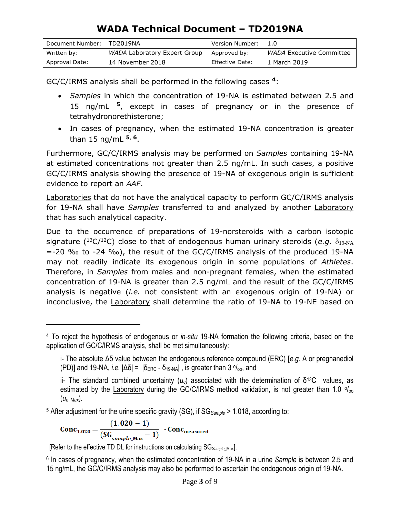| Document Number: | TD2019NA                     | Version Number: |                          |
|------------------|------------------------------|-----------------|--------------------------|
| Written by:      | WADA Laboratory Expert Group | Approved by:    | WADA Executive Committee |
| Approval Date:   | 14 November 2018             | Effective Date: | 1 March 2019             |

GC/C/IRMS analysis shall be performed in the following cases **<sup>4</sup>**:

- *Samples* in which the concentration of 19-NA is estimated between 2.5 and 15 ng/mL **<sup>5</sup>**, except in cases of pregnancy or in the presence of tetrahydronorethisterone;
- In cases of pregnancy, when the estimated 19-NA concentration is greater than 15 ng/mL **<sup>5</sup>**, **6**.

Furthermore, GC/C/IRMS analysis may be performed on *Samples* containing 19-NA at estimated concentrations not greater than 2.5 ng/mL. In such cases, a positive GC/C/IRMS analysis showing the presence of 19-NA of exogenous origin is sufficient evidence to report an *AAF*.

Laboratories that do not have the analytical capacity to perform GC/C/IRMS analysis for 19-NA shall have *Samples* transferred to and analyzed by another Laboratory that has such analytical capacity.

Due to the occurrence of preparations of 19-norsteroids with a carbon isotopic signature ( $^{13}C/^{12}C$ ) close to that of endogenous human urinary steroids (*e.g.*  $\delta_{19\text{-NA}}$ =-20 ‰ to -24 ‰), the result of the GC/C/IRMS analysis of the produced 19-NA may not readily indicate its exogenous origin in some populations of *Athletes*. Therefore, in *Samples* from males and non-pregnant females, when the estimated concentration of 19-NA is greater than 2.5 ng/mL and the result of the GC/C/IRMS analysis is negative (*i.e.* not consistent with an exogenous origin of 19-NA) or inconclusive, the Laboratory shall determine the ratio of 19-NA to 19-NE based on

<sup>5</sup> After adjustment for the urine specific gravity (SG), if SG*Sample* > 1.018, according to:

$$
Conc_{1.020} = \frac{(1.020 - 1)}{(SG_{sample\_Max} - 1)} \cdot Conc_{measured}
$$

 $\overline{a}$ 

[Refer to the effective TD DL for instructions on calculating SG*Sample\_*Max].

6 In cases of pregnancy, when the estimated concentration of 19-NA in a urine *Sample* is between 2.5 and 15 ng/mL, the GC/C/IRMS analysis may also be performed to ascertain the endogenous origin of 19-NA.

<sup>4</sup> To reject the hypothesis of endogenous or *in-situ* 19-NA formation the following criteria, based on the application of GC/C/IRMS analysis, shall be met simultaneously:

i- The absolute Δδ value between the endogenous reference compound (ERC) [*e.g.* A or pregnanediol (PD)] and 19-NA, *i.e.*  $|\Delta \delta| = |\delta_{ERC} - \delta_{19\text{-NA}}|$ , is greater than 3  $\circ/_{\text{oo}}$ , and

ii- The standard combined uncertainty ( $u_c$ ) associated with the determination of δ<sup>13</sup>C values, as estimated by the Laboratory during the GC/C/IRMS method validation, is not greater than 1.0 % (*uc\_Max*).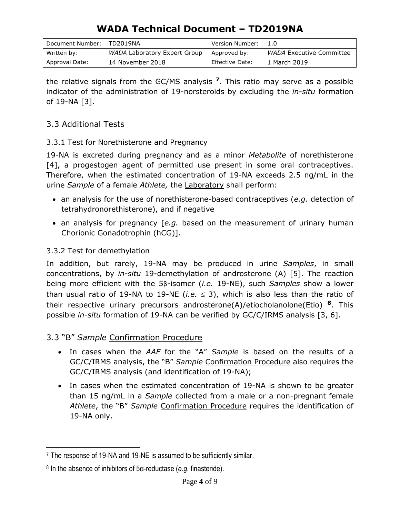| Document Number: | l TD2019NA                   | Version Number: |                          |
|------------------|------------------------------|-----------------|--------------------------|
| Written by:      | WADA Laboratory Expert Group | Approved by:    | WADA Executive Committee |
| Approval Date:   | 14 November 2018             | Effective Date: | 1 March 2019             |

the relative signals from the GC/MS analysis **<sup>7</sup>**. This ratio may serve as a possible indicator of the administration of 19-norsteroids by excluding the *in-situ* formation of 19-NA [3].

### 3.3 Additional Tests

#### 3.3.1 Test for Norethisterone and Pregnancy

19-NA is excreted during pregnancy and as a minor *Metabolite* of norethisterone [4], a progestogen agent of permitted use present in some oral contraceptives. Therefore, when the estimated concentration of 19-NA exceeds 2.5 ng/mL in the urine *Sample* of a female *Athlete,* the Laboratory shall perform:

- an analysis for the use of norethisterone-based contraceptives (*e.g.* detection of tetrahydronorethisterone), and if negative
- an analysis for pregnancy [e.g. based on the measurement of urinary human Chorionic Gonadotrophin (hCG)].

### 3.3.2 Test for demethylation

 $\overline{a}$ 

In addition, but rarely, 19-NA may be produced in urine *Samples*, in small concentrations, by *in-situ* 19-demethylation of androsterone (A) [5]. The reaction being more efficient with the 5β-isomer (*i.e.* 19-NE), such *Samples* show a lower than usual ratio of 19-NA to 19-NE (*i.e.*  $\leq$  3), which is also less than the ratio of their respective urinary precursors androsterone(A)/etiocholanolone(Etio) **<sup>8</sup>**. This possible *in-situ* formation of 19-NA can be verified by GC/C/IRMS analysis [3, 6].

### 3.3 "B" *Sample* Confirmation Procedure

- In cases when the *AAF* for the "A" *Sample* is based on the results of a GC/C/IRMS analysis, the "B" *Sample* Confirmation Procedure also requires the GC/C/IRMS analysis (and identification of 19-NA);
- In cases when the estimated concentration of 19-NA is shown to be greater than 15 ng/mL in a *Sample* collected from a male or a non-pregnant female *Athlete*, the "B" *Sample* Confirmation Procedure requires the identification of 19-NA only.

<sup>7</sup> The response of 19-NA and 19-NE is assumed to be sufficiently similar.

<sup>8</sup> In the absence of inhibitors of 5α-reductase (*e.g.* finasteride).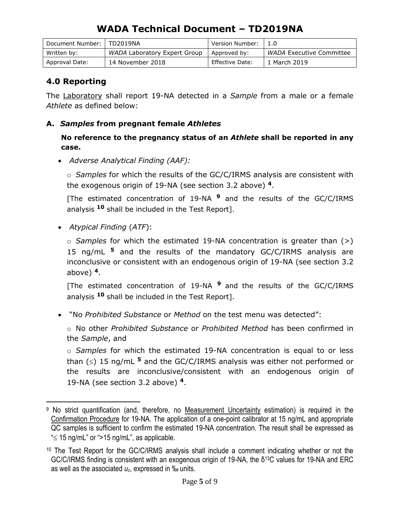| Document Number:   TD2019NA |                              | Version Number: |                                 |
|-----------------------------|------------------------------|-----------------|---------------------------------|
| Written by:                 | WADA Laboratory Expert Group | Approved by:    | <i>WADA</i> Executive Committee |
| Approval Date:              | 14 November 2018             | Effective Date: | 1 March 2019                    |

### **4.0 Reporting**

The Laboratory shall report 19-NA detected in a *Sample* from a male or a female *Athlete* as defined below:

#### **A.** *Samples* **from pregnant female** *Athletes*

**No reference to the pregnancy status of an** *Athlete* **shall be reported in any case.**

*Adverse Analytical Finding (AAF):* 

o *Samples* for which the results of the GC/C/IRMS analysis are consistent with the exogenous origin of 19-NA (see section 3.2 above) **<sup>4</sup>**.

[The estimated concentration of 19-NA **<sup>9</sup>** and the results of the GC/C/IRMS analysis **<sup>10</sup>** shall be included in the Test Report].

*Atypical Finding* (*ATF*):

 $\overline{a}$ 

o *Samples* for which the estimated 19-NA concentration is greater than (>) 15 ng/mL **<sup>5</sup>** and the results of the mandatory GC/C/IRMS analysis are inconclusive or consistent with an endogenous origin of 19-NA (see section 3.2 above) **4**.

[The estimated concentration of 19-NA **<sup>9</sup>** and the results of the GC/C/IRMS analysis **<sup>10</sup>** shall be included in the Test Report].

"No *Prohibited Substance* or *Method* on the test menu was detected":

o No other *Prohibited Substance* or *Prohibited Method* has been confirmed in the *Sample*, and

o *Samples* for which the estimated 19-NA concentration is equal to or less than  $(\le)$  15 ng/mL <sup>5</sup> and the GC/C/IRMS analysis was either not performed or the results are inconclusive/consistent with an endogenous origin of 19-NA (see section 3.2 above) **4**.

<sup>9</sup> No strict quantification (and, therefore, no Measurement Uncertainty estimation) is required in the Confirmation Procedure for 19-NA. The application of a one-point calibrator at 15 ng/mL and appropriate QC samples is sufficient to confirm the estimated 19-NA concentration. The result shall be expressed as " $\leq$  15 ng/mL" or ">15 ng/mL", as applicable.

<sup>10</sup> The Test Report for the GC/C/IRMS analysis shall include a comment indicating whether or not the GC/C/IRMS finding is consistent with an exogenous origin of 19-NA, the δ <sup>13</sup>C values for 19-NA and ERC as well as the associated *uc*, expressed in ‰ units.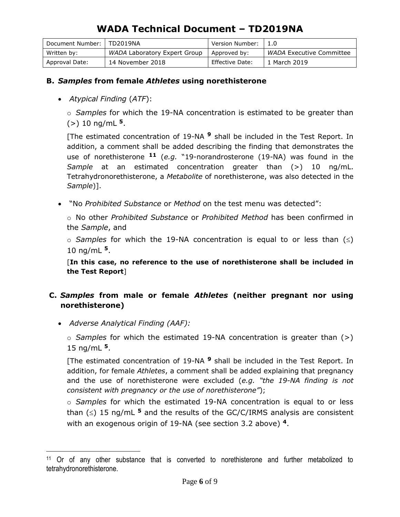| Document Number: | TD2019NA                     | Version Number: |                          |
|------------------|------------------------------|-----------------|--------------------------|
| Written by:      | WADA Laboratory Expert Group | Approved by:    | WADA Executive Committee |
| Approval Date:   | 14 November 2018             | Effective Date: | 1 March 2019             |

#### **B.** *Samples* **from female** *Athletes* **using norethisterone**

*Atypical Finding* (*ATF*):

o *Samples* for which the 19-NA concentration is estimated to be greater than (>) 10 ng/mL **<sup>5</sup>**.

[The estimated concentration of 19-NA **<sup>9</sup>** shall be included in the Test Report. In addition, a comment shall be added describing the finding that demonstrates the use of norethisterone **<sup>11</sup>** (*e.g.* "19-norandrosterone (19-NA) was found in the *Sample* at an estimated concentration greater than (>) 10 ng/mL. Tetrahydronorethisterone, a *Metabolite* of norethisterone, was also detected in the *Sample*)].

"No *Prohibited Substance* or *Method* on the test menu was detected":

o No other *Prohibited Substance* or *Prohibited Method* has been confirmed in the *Sample*, and

 $\circ$  *Samples* for which the 19-NA concentration is equal to or less than  $(\le)$ 10 ng/mL **<sup>5</sup>**.

[**In this case, no reference to the use of norethisterone shall be included in the Test Report**]

#### **C.** *Samples* **from male or female** *Athletes* **(neither pregnant nor using norethisterone)**

*Adverse Analytical Finding (AAF):* 

 $\overline{a}$ 

o *Samples* for which the estimated 19-NA concentration is greater than (>) 15 ng/mL **<sup>5</sup>**.

[The estimated concentration of 19-NA **<sup>9</sup>** shall be included in the Test Report. In addition, for female *Athletes*, a comment shall be added explaining that pregnancy and the use of norethisterone were excluded (*e.g. "the 19-NA finding is not consistent with pregnancy or the use of norethisterone"*);

o *Samples* for which the estimated 19-NA concentration is equal to or less than  $(\le)$  15 ng/mL <sup>5</sup> and the results of the GC/C/IRMS analysis are consistent with an exogenous origin of 19-NA (see section 3.2 above) **<sup>4</sup>**.

<sup>&</sup>lt;sup>11</sup> Or of any other substance that is converted to norethisterone and further metabolized to tetrahydronorethisterone.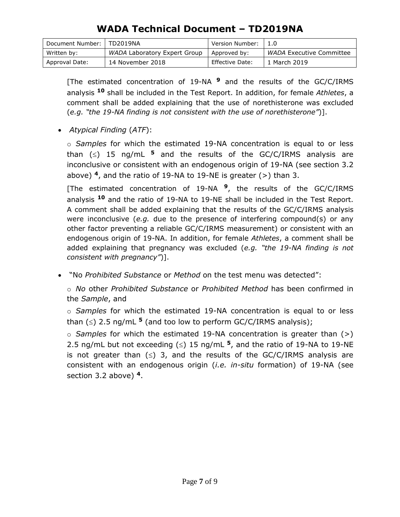| Document Number: | TD2019NA                     | Version Number: |                                 |
|------------------|------------------------------|-----------------|---------------------------------|
| Written by:      | WADA Laboratory Expert Group | Approved by:    | <i>WADA</i> Executive Committee |
| Approval Date:   | 14 November 2018             | Effective Date: | L March 2019                    |

[The estimated concentration of 19-NA **<sup>9</sup>** and the results of the GC/C/IRMS analysis **<sup>10</sup>** shall be included in the Test Report. In addition, for female *Athletes*, a comment shall be added explaining that the use of norethisterone was excluded (*e.g. "the 19-NA finding is not consistent with the use of norethisterone"*)].

*Atypical Finding* (*ATF*):

o *Samples* for which the estimated 19-NA concentration is equal to or less than  $(\le)$  15 ng/mL <sup>5</sup> and the results of the GC/C/IRMS analysis are inconclusive or consistent with an endogenous origin of 19-NA (see section 3.2 above) **<sup>4</sup>**, and the ratio of 19-NA to 19-NE is greater (>) than 3.

[The estimated concentration of 19-NA **<sup>9</sup>**, the results of the GC/C/IRMS analysis **<sup>10</sup>** and the ratio of 19-NA to 19-NE shall be included in the Test Report. A comment shall be added explaining that the results of the GC/C/IRMS analysis were inconclusive (*e.g.* due to the presence of interfering compound(s) or any other factor preventing a reliable GC/C/IRMS measurement) or consistent with an endogenous origin of 19-NA. In addition, for female *Athletes*, a comment shall be added explaining that pregnancy was excluded (*e.g. "the 19-NA finding is not consistent with pregnancy"*)].

"No *Prohibited Substance* or *Method* on the test menu was detected":

o *No* other *Prohibited Substance* or *Prohibited Method* has been confirmed in the *Sample*, and

o *Samples* for which the estimated 19-NA concentration is equal to or less than  $(\le)$  2.5 ng/mL <sup>5</sup> (and too low to perform GC/C/IRMS analysis);

o *Samples* for which the estimated 19-NA concentration is greater than (>) 2.5 ng/mL but not exceeding  $(\le)$  15 ng/mL  $^5$ , and the ratio of 19-NA to 19-NE is not greater than  $(\le)$  3, and the results of the GC/C/IRMS analysis are consistent with an endogenous origin (*i.e. in-situ* formation) of 19-NA (see section 3.2 above) **4**.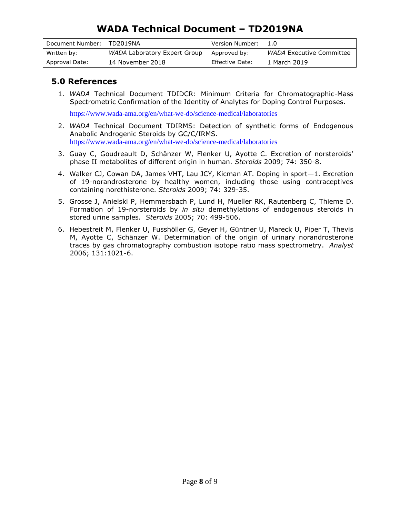| Document Number: | TD2019NA                     | Version Number: |                                 |
|------------------|------------------------------|-----------------|---------------------------------|
| Written by:      | WADA Laboratory Expert Group | Approved by:    | <i>WADA</i> Executive Committee |
| Approval Date:   | 14 November 2018             | Effective Date: | 1 March 2019                    |

#### **5.0 References**

1. *WADA* Technical Document TDIDCR: Minimum Criteria for Chromatographic-Mass Spectrometric Confirmation of the Identity of Analytes for Doping Control Purposes.

<https://www.wada-ama.org/en/what-we-do/science-medical/laboratories>

- 2. *WADA* Technical Document TDIRMS: Detection of synthetic forms of Endogenous Anabolic Androgenic Steroids by GC/C/IRMS. <https://www.wada-ama.org/en/what-we-do/science-medical/laboratories>
- 3. Guay C, Goudreault D, Schänzer W, Flenker U, Ayotte C. Excretion of norsteroids' phase II metabolites of different origin in human. *Steroids* 2009; 74: 350-8.
- 4. Walker CJ, Cowan DA, James VHT, Lau JCY, Kicman AT. Doping in sport—1. Excretion of 19-norandrosterone by healthy women, including those using contraceptives containing norethisterone. *Steroids* 2009; 74: 329-35.
- 5. [Grosse J,](http://www.ncbi.nlm.nih.gov/sites/entrez?Db=pubmed&Cmd=Search&Term=%22Grosse%20J%22%5BAuthor%5D&itool=EntrezSystem2.PEntrez.Pubmed.Pubmed_ResultsPanel.Pubmed_DiscoveryPanel.Pubmed_RVAbstractPlus) [Anielski P,](http://www.ncbi.nlm.nih.gov/sites/entrez?Db=pubmed&Cmd=Search&Term=%22Anielski%20P%22%5BAuthor%5D&itool=EntrezSystem2.PEntrez.Pubmed.Pubmed_ResultsPanel.Pubmed_DiscoveryPanel.Pubmed_RVAbstractPlus) [Hemmersbach P,](http://www.ncbi.nlm.nih.gov/sites/entrez?Db=pubmed&Cmd=Search&Term=%22Hemmersbach%20P%22%5BAuthor%5D&itool=EntrezSystem2.PEntrez.Pubmed.Pubmed_ResultsPanel.Pubmed_DiscoveryPanel.Pubmed_RVAbstractPlus) [Lund H,](http://www.ncbi.nlm.nih.gov/sites/entrez?Db=pubmed&Cmd=Search&Term=%22Lund%20H%22%5BAuthor%5D&itool=EntrezSystem2.PEntrez.Pubmed.Pubmed_ResultsPanel.Pubmed_DiscoveryPanel.Pubmed_RVAbstractPlus) [Mueller RK,](http://www.ncbi.nlm.nih.gov/sites/entrez?Db=pubmed&Cmd=Search&Term=%22Mueller%20RK%22%5BAuthor%5D&itool=EntrezSystem2.PEntrez.Pubmed.Pubmed_ResultsPanel.Pubmed_DiscoveryPanel.Pubmed_RVAbstractPlus) [Rautenberg C,](http://www.ncbi.nlm.nih.gov/sites/entrez?Db=pubmed&Cmd=Search&Term=%22Rautenberg%20C%22%5BAuthor%5D&itool=EntrezSystem2.PEntrez.Pubmed.Pubmed_ResultsPanel.Pubmed_DiscoveryPanel.Pubmed_RVAbstractPlus) [Thieme D.](http://www.ncbi.nlm.nih.gov/sites/entrez?Db=pubmed&Cmd=Search&Term=%22Thieme%20D%22%5BAuthor%5D&itool=EntrezSystem2.PEntrez.Pubmed.Pubmed_ResultsPanel.Pubmed_DiscoveryPanel.Pubmed_RVAbstractPlus) Formation of 19-norsteroids by *in situ* demethylations of endogenous steroids in stored urine samples. *Steroids* 2005; 70: 499-506.
- 6. [Hebestreit M,](http://www.ncbi.nlm.nih.gov/sites/entrez?Db=pubmed&Cmd=Search&Term=%22Hebestreit%20M%22%5BAuthor%5D&itool=EntrezSystem2.PEntrez.Pubmed.Pubmed_ResultsPanel.Pubmed_DiscoveryPanel.Pubmed_RVAbstractPlus) [Flenker U,](http://www.ncbi.nlm.nih.gov/sites/entrez?Db=pubmed&Cmd=Search&Term=%22Flenker%20U%22%5BAuthor%5D&itool=EntrezSystem2.PEntrez.Pubmed.Pubmed_ResultsPanel.Pubmed_DiscoveryPanel.Pubmed_RVAbstractPlus) [Fusshöller G,](http://www.ncbi.nlm.nih.gov/sites/entrez?Db=pubmed&Cmd=Search&Term=%22Fussh%C3%B6ller%20G%22%5BAuthor%5D&itool=EntrezSystem2.PEntrez.Pubmed.Pubmed_ResultsPanel.Pubmed_DiscoveryPanel.Pubmed_RVAbstractPlus) [Geyer H,](http://www.ncbi.nlm.nih.gov/sites/entrez?Db=pubmed&Cmd=Search&Term=%22Geyer%20H%22%5BAuthor%5D&itool=EntrezSystem2.PEntrez.Pubmed.Pubmed_ResultsPanel.Pubmed_DiscoveryPanel.Pubmed_RVAbstractPlus) [Güntner U,](http://www.ncbi.nlm.nih.gov/sites/entrez?Db=pubmed&Cmd=Search&Term=%22G%C3%BCntner%20U%22%5BAuthor%5D&itool=EntrezSystem2.PEntrez.Pubmed.Pubmed_ResultsPanel.Pubmed_DiscoveryPanel.Pubmed_RVAbstractPlus) [Mareck U,](http://www.ncbi.nlm.nih.gov/sites/entrez?Db=pubmed&Cmd=Search&Term=%22Mareck%20U%22%5BAuthor%5D&itool=EntrezSystem2.PEntrez.Pubmed.Pubmed_ResultsPanel.Pubmed_DiscoveryPanel.Pubmed_RVAbstractPlus) [Piper T,](http://www.ncbi.nlm.nih.gov/sites/entrez?Db=pubmed&Cmd=Search&Term=%22Piper%20T%22%5BAuthor%5D&itool=EntrezSystem2.PEntrez.Pubmed.Pubmed_ResultsPanel.Pubmed_DiscoveryPanel.Pubmed_RVAbstractPlus) [Thevis](http://www.ncbi.nlm.nih.gov/sites/entrez?Db=pubmed&Cmd=Search&Term=%22Thevis%20M%22%5BAuthor%5D&itool=EntrezSystem2.PEntrez.Pubmed.Pubmed_ResultsPanel.Pubmed_DiscoveryPanel.Pubmed_RVAbstractPlus)  [M,](http://www.ncbi.nlm.nih.gov/sites/entrez?Db=pubmed&Cmd=Search&Term=%22Thevis%20M%22%5BAuthor%5D&itool=EntrezSystem2.PEntrez.Pubmed.Pubmed_ResultsPanel.Pubmed_DiscoveryPanel.Pubmed_RVAbstractPlus) [Ayotte C,](http://www.ncbi.nlm.nih.gov/sites/entrez?Db=pubmed&Cmd=Search&Term=%22Ayotte%20C%22%5BAuthor%5D&itool=EntrezSystem2.PEntrez.Pubmed.Pubmed_ResultsPanel.Pubmed_DiscoveryPanel.Pubmed_RVAbstractPlus) [Schänzer W.](http://www.ncbi.nlm.nih.gov/sites/entrez?Db=pubmed&Cmd=Search&Term=%22Sch%C3%A4nzer%20W%22%5BAuthor%5D&itool=EntrezSystem2.PEntrez.Pubmed.Pubmed_ResultsPanel.Pubmed_DiscoveryPanel.Pubmed_RVAbstractPlus) Determination of the origin of urinary norandrosterone traces by gas chromatography combustion isotope ratio mass spectrometry. *Analyst* 2006; 131:1021-6.